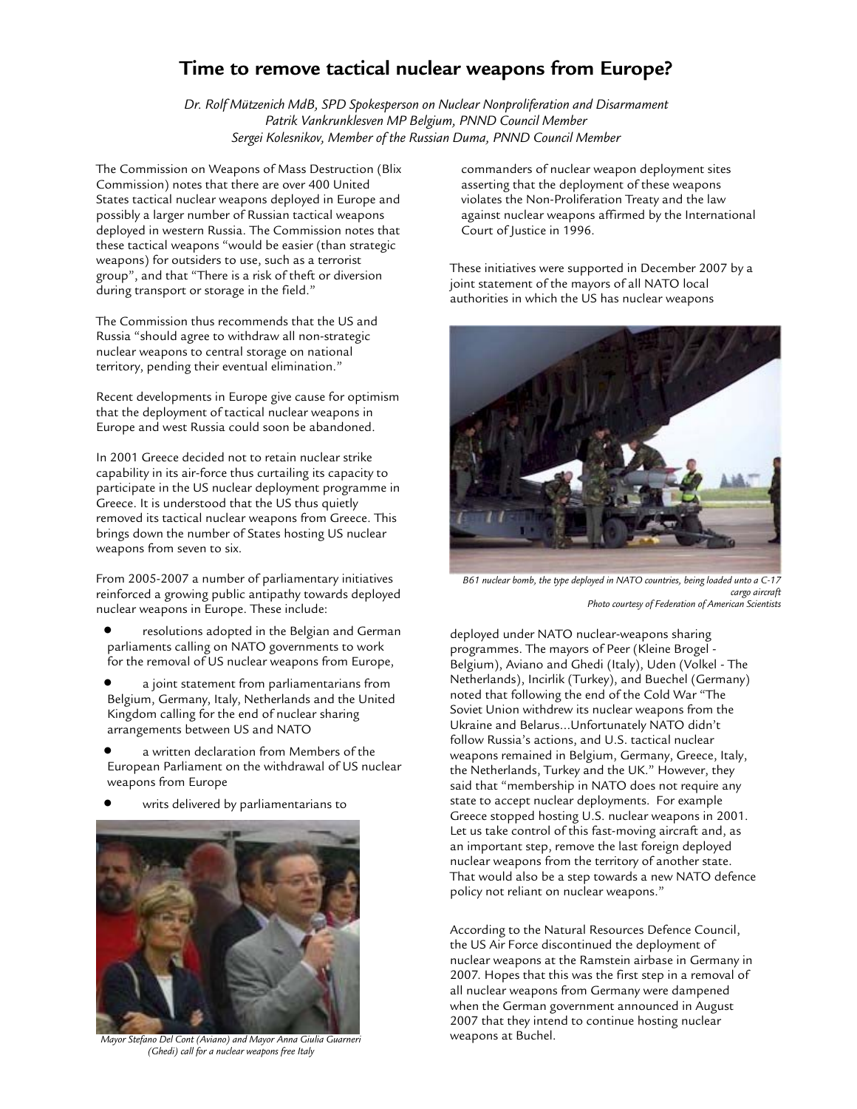## **Time to remove tactical nuclear weapons from Europe?**

*Dr. Rolf Mützenich MdB, SPD Spokesperson on Nuclear Nonproliferation and Disarmament Patrik Vankrunklesven MP Belgium, PNND Council Member Sergei Kolesnikov, Member of the Russian Duma, PNND Council Member* 

The Commission on Weapons of Mass Destruction (Blix Commission) notes that there are over 400 United States tactical nuclear weapons deployed in Europe and possibly a larger number of Russian tactical weapons deployed in western Russia. The Commission notes that these tactical weapons "would be easier (than strategic weapons) for outsiders to use, such as a terrorist group", and that "There is a risk of theft or diversion during transport or storage in the field."

The Commission thus recommends that the US and Russia "should agree to withdraw all non-strategic nuclear weapons to central storage on national territory, pending their eventual elimination."

Recent developments in Europe give cause for optimism that the deployment of tactical nuclear weapons in Europe and west Russia could soon be abandoned.

In 2001 Greece decided not to retain nuclear strike capability in its air-force thus curtailing its capacity to participate in the US nuclear deployment programme in Greece. It is understood that the US thus quietly removed its tactical nuclear weapons from Greece. This brings down the number of States hosting US nuclear weapons from seven to six.

From 2005-2007 a number of parliamentary initiatives reinforced a growing public antipathy towards deployed nuclear weapons in Europe. These include:

- resolutions adopted in the Belgian and German parliaments calling on NATO governments to work for the removal of US nuclear weapons from Europe,
- a joint statement from parliamentarians from Belgium, Germany, Italy, Netherlands and the United Kingdom calling for the end of nuclear sharing arrangements between US and NATO
- a written declaration from Members of the European Parliament on the withdrawal of US nuclear weapons from Europe
- writs delivered by parliamentarians to



*Mayor Stefano Del Cont (Aviano) and Mayor Anna Giulia Guarneri* **weapons at Buchel.** *(Ghedi) call for a nuclear weapons free Italy* 

commanders of nuclear weapon deployment sites asserting that the deployment of these weapons violates the Non-Proliferation Treaty and the law against nuclear weapons affirmed by the International Court of Justice in 1996.

These initiatives were supported in December 2007 by a joint statement of the mayors of all NATO local authorities in which the US has nuclear weapons



*B61 nuclear bomb, the type deployed in NATO countries, being loaded unto a C-17 cargo aircraft Photo courtesy of Federation of American Scientists* 

deployed under NATO nuclear-weapons sharing programmes. The mayors of Peer (Kleine Brogel - Belgium), Aviano and Ghedi (Italy), Uden (Volkel - The Netherlands), Incirlik (Turkey), and Buechel (Germany) noted that following the end of the Cold War "The Soviet Union withdrew its nuclear weapons from the Ukraine and Belarus…Unfortunately NATO didn't follow Russia's actions, and U.S. tactical nuclear weapons remained in Belgium, Germany, Greece, Italy, the Netherlands, Turkey and the UK." However, they said that "membership in NATO does not require any state to accept nuclear deployments. For example Greece stopped hosting U.S. nuclear weapons in 2001. Let us take control of this fast-moving aircraft and, as an important step, remove the last foreign deployed nuclear weapons from the territory of another state. That would also be a step towards a new NATO defence policy not reliant on nuclear weapons."

According to the Natural Resources Defence Council, the US Air Force discontinued the deployment of nuclear weapons at the Ramstein airbase in Germany in 2007. Hopes that this was the first step in a removal of all nuclear weapons from Germany were dampened when the German government announced in August 2007 that they intend to continue hosting nuclear